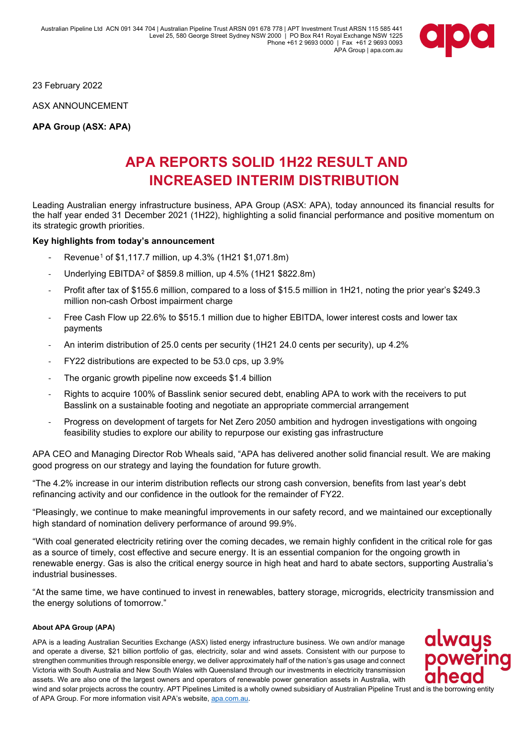Australian Pipeline Ltd ACN 091 344 704 | Australian Pipeline Trust ARSN 091 678 778 | APT Investment Trust ARSN 115 585 441 Level 25, 580 George Street Sydney NSW 2000 | PO Box R41 Royal Exchange NSW 1225 Phone +61 2 9693 0000 | Fax +61 2 9693 0093 APA Group | apa.com.au



23 February 2022

ASX ANNOUNCEMENT

**APA Group (ASX: APA)**

# **APA REPORTS SOLID 1H22 RESULT AND INCREASED INTERIM DISTRIBUTION**

Leading Australian energy infrastructure business, APA Group (ASX: APA), today announced its financial results for the half year ended 31 December 2021 (1H22), highlighting a solid financial performance and positive momentum on its strategic growth priorities.

#### **Key highlights from today's announcement**

- Revenue<sup>[1](#page-2-0)</sup> of \$1,117.7 million, up 4.3% (1H21 \$1,071.8m)
- Underlying EBITDA[2](#page-2-1) of \$859.8 million, up 4.5% (1H21 \$822.8m)
- Profit after tax of \$155.6 million, compared to a loss of \$15.5 million in 1H21, noting the prior year's \$249.3 million non-cash Orbost impairment charge
- Free Cash Flow up 22.6% to \$515.1 million due to higher EBITDA, lower interest costs and lower tax payments
- An interim distribution of 25.0 cents per security (1H21 24.0 cents per security), up 4.2%
- FY22 distributions are expected to be 53.0 cps, up 3.9%
- The organic growth pipeline now exceeds \$1.4 billion
- Rights to acquire 100% of Basslink senior secured debt, enabling APA to work with the receivers to put Basslink on a sustainable footing and negotiate an appropriate commercial arrangement
- Progress on development of targets for Net Zero 2050 ambition and hydrogen investigations with ongoing feasibility studies to explore our ability to repurpose our existing gas infrastructure

APA CEO and Managing Director Rob Wheals said, "APA has delivered another solid financial result. We are making good progress on our strategy and laying the foundation for future growth.

"The 4.2% increase in our interim distribution reflects our strong cash conversion, benefits from last year's debt refinancing activity and our confidence in the outlook for the remainder of FY22.

"Pleasingly, we continue to make meaningful improvements in our safety record, and we maintained our exceptionally high standard of nomination delivery performance of around 99.9%.

"With coal generated electricity retiring over the coming decades, we remain highly confident in the critical role for gas as a source of timely, cost effective and secure energy. It is an essential companion for the ongoing growth in renewable energy. Gas is also the critical energy source in high heat and hard to abate sectors, supporting Australia's industrial businesses.

"At the same time, we have continued to invest in renewables, battery storage, microgrids, electricity transmission and the energy solutions of tomorrow."

#### **About APA Group (APA)**

APA is a leading Australian Securities Exchange (ASX) listed energy infrastructure business. We own and/or manage and operate a diverse, \$21 billion portfolio of gas, electricity, solar and wind assets. Consistent with our purpose to strengthen communities through responsible energy, we deliver approximately half of the nation's gas usage and connect Victoria with South Australia and New South Wales with Queensland through our investments in electricity transmission assets. We are also one of the largest owners and operators of renewable power generation assets in Australia, with wind and solar projects across the country. APT Pipelines Limited is a wholly owned subsidiary of Australian Pipeline Trust and is the borrowing entity of APA Group. For more information visit APA's website[, apa.com.au.](https://www.apa.com.au/)

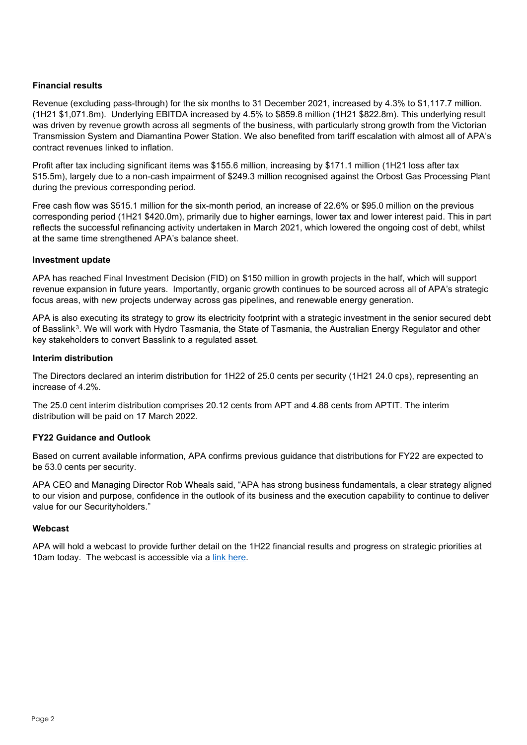# **Financial results**

Revenue (excluding pass-through) for the six months to 31 December 2021, increased by 4.3% to \$1,117.7 million. (1H21 \$1,071.8m). Underlying EBITDA increased by 4.5% to \$859.8 million (1H21 \$822.8m). This underlying result was driven by revenue growth across all segments of the business, with particularly strong growth from the Victorian Transmission System and Diamantina Power Station. We also benefited from tariff escalation with almost all of APA's contract revenues linked to inflation.

Profit after tax including significant items was \$155.6 million, increasing by \$171.1 million (1H21 loss after tax \$15.5m), largely due to a non-cash impairment of \$249.3 million recognised against the Orbost Gas Processing Plant during the previous corresponding period.

Free cash flow was \$515.1 million for the six-month period, an increase of 22.6% or \$95.0 million on the previous corresponding period (1H21 \$420.0m), primarily due to higher earnings, lower tax and lower interest paid. This in part reflects the successful refinancing activity undertaken in March 2021, which lowered the ongoing cost of debt, whilst at the same time strengthened APA's balance sheet.

### **Investment update**

APA has reached Final Investment Decision (FID) on \$150 million in growth projects in the half, which will support revenue expansion in future years. Importantly, organic growth continues to be sourced across all of APA's strategic focus areas, with new projects underway across gas pipelines, and renewable energy generation.

APA is also executing its strategy to grow its electricity footprint with a strategic investment in the senior secured debt of Basslink<sup>[3](#page-2-2)</sup>. We will work with Hydro Tasmania, the State of Tasmania, the Australian Energy Regulator and other key stakeholders to convert Basslink to a regulated asset.

### **Interim distribution**

The Directors declared an interim distribution for 1H22 of 25.0 cents per security (1H21 24.0 cps), representing an increase of 4.2%.

The 25.0 cent interim distribution comprises 20.12 cents from APT and 4.88 cents from APTIT. The interim distribution will be paid on 17 March 2022.

# **FY22 Guidance and Outlook**

Based on current available information, APA confirms previous guidance that distributions for FY22 are expected to be 53.0 cents per security.

APA CEO and Managing Director Rob Wheals said, "APA has strong business fundamentals, a clear strategy aligned to our vision and purpose, confidence in the outlook of its business and the execution capability to continue to deliver value for our Securityholders."

# **Webcast**

APA will hold a webcast to provide further detail on the 1H22 financial results and progress on strategic priorities at 10am today. The webcast is accessible via a [link here.](https://webcast1.boardroom.media/watch_broadcast.php?id=61ba6f49c9003)